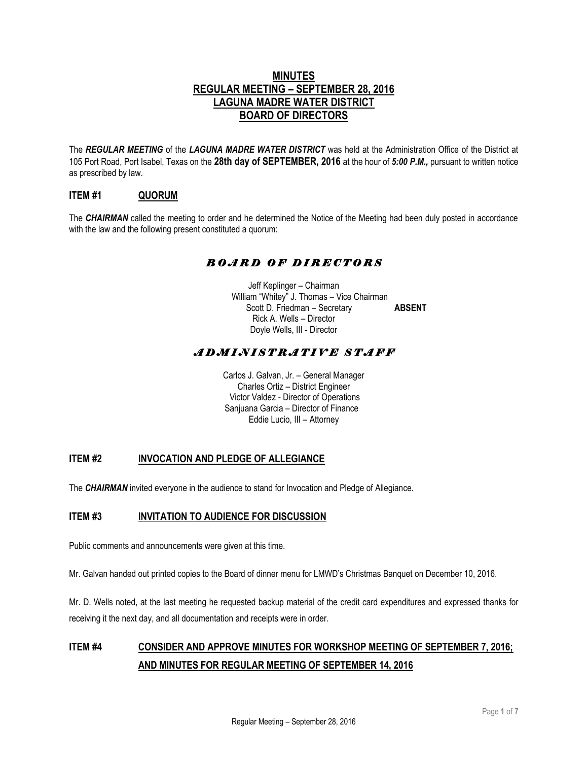### **MINUTES REGULAR MEETING – SEPTEMBER 28, 2016 LAGUNA MADRE WATER DISTRICT BOARD OF DIRECTORS**

The *REGULAR MEETING* of the *LAGUNA MADRE WATER DISTRICT* was held at the Administration Office of the District at 105 Port Road, Port Isabel, Texas on the **28th day of SEPTEMBER, 2016** at the hour of *5:00 P.M.,* pursuant to written notice as prescribed by law.

### **ITEM #1 QUORUM**

The *CHAIRMAN* called the meeting to order and he determined the Notice of the Meeting had been duly posted in accordance with the law and the following present constituted a quorum:

### *B O A R D O F D I R E C T O R S*

Jeff Keplinger – Chairman William "Whitey" J. Thomas – Vice Chairman Scott D. Friedman – Secretary **ABSENT** Rick A. Wells – Director Doyle Wells, III - Director

### *A D M I N I S T R A T I V E S T A F F*

Carlos J. Galvan, Jr. – General Manager Charles Ortiz – District Engineer Victor Valdez - Director of Operations Sanjuana Garcia – Director of Finance Eddie Lucio, III – Attorney

### **ITEM #2 INVOCATION AND PLEDGE OF ALLEGIANCE**

The *CHAIRMAN* invited everyone in the audience to stand for Invocation and Pledge of Allegiance.

#### **ITEM #3 INVITATION TO AUDIENCE FOR DISCUSSION**

Public comments and announcements were given at this time.

Mr. Galvan handed out printed copies to the Board of dinner menu for LMWD's Christmas Banquet on December 10, 2016.

Mr. D. Wells noted, at the last meeting he requested backup material of the credit card expenditures and expressed thanks for receiving it the next day, and all documentation and receipts were in order.

## **ITEM #4 CONSIDER AND APPROVE MINUTES FOR WORKSHOP MEETING OF SEPTEMBER 7, 2016; AND MINUTES FOR REGULAR MEETING OF SEPTEMBER 14, 2016**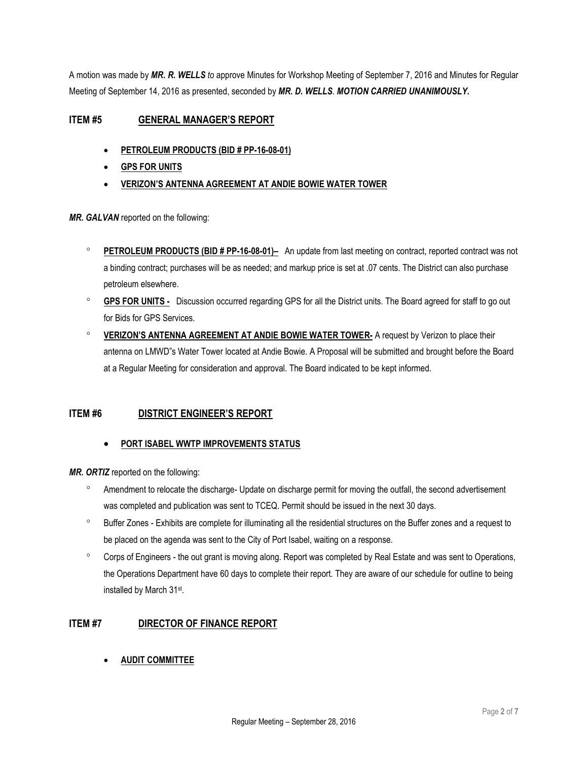A motion was made by *MR. R. WELLS to* approve Minutes for Workshop Meeting of September 7, 2016 and Minutes for Regular Meeting of September 14, 2016 as presented, seconded by *MR. D. WELLS*. *MOTION CARRIED UNANIMOUSLY.* 

### **ITEM #5 GENERAL MANAGER'S REPORT**

- **PETROLEUM PRODUCTS (BID # PP-16-08-01)**
- **GPS FOR UNITS**
- **VERIZON'S ANTENNA AGREEMENT AT ANDIE BOWIE WATER TOWER**

*MR. GALVAN* reported on the following:

- **PETROLEUM PRODUCTS (BID # PP-16-08-01)–** An update from last meeting on contract, reported contract was not a binding contract; purchases will be as needed; and markup price is set at .07 cents. The District can also purchase petroleum elsewhere.
- **GPS FOR UNITS -** Discussion occurred regarding GPS for all the District units. The Board agreed for staff to go out for Bids for GPS Services.
- **VERIZON'S ANTENNA AGREEMENT AT ANDIE BOWIE WATER TOWER-** A request by Verizon to place their antenna on LMWD"s Water Tower located at Andie Bowie. A Proposal will be submitted and brought before the Board at a Regular Meeting for consideration and approval. The Board indicated to be kept informed.

### **ITEM #6 DISTRICT ENGINEER'S REPORT**

### • **PORT ISABEL WWTP IMPROVEMENTS STATUS**

*MR. ORTIZ* reported on the following:

- <sup>o</sup> Amendment to relocate the discharge- Update on discharge permit for moving the outfall, the second advertisement was completed and publication was sent to TCEQ. Permit should be issued in the next 30 days.
- Buffer Zones Exhibits are complete for illuminating all the residential structures on the Buffer zones and a request to be placed on the agenda was sent to the City of Port Isabel, waiting on a response.
- Corps of Engineers the out grant is moving along. Report was completed by Real Estate and was sent to Operations, the Operations Department have 60 days to complete their report. They are aware of our schedule for outline to being installed by March 31st .

### **ITEM #7 DIRECTOR OF FINANCE REPORT**

• **AUDIT COMMITTEE**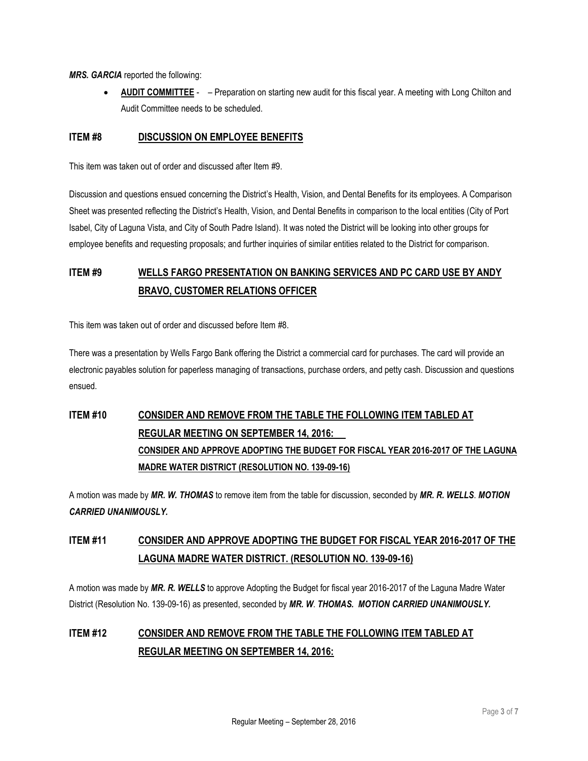*MRS. GARCIA* reported the following:

• **AUDIT COMMITTEE** - – Preparation on starting new audit for this fiscal year. A meeting with Long Chilton and Audit Committee needs to be scheduled.

### **ITEM #8 DISCUSSION ON EMPLOYEE BENEFITS**

This item was taken out of order and discussed after Item #9.

Discussion and questions ensued concerning the District's Health, Vision, and Dental Benefits for its employees. A Comparison Sheet was presented reflecting the District's Health, Vision, and Dental Benefits in comparison to the local entities (City of Port Isabel, City of Laguna Vista, and City of South Padre Island). It was noted the District will be looking into other groups for employee benefits and requesting proposals; and further inquiries of similar entities related to the District for comparison.

## **ITEM #9 WELLS FARGO PRESENTATION ON BANKING SERVICES AND PC CARD USE BY ANDY BRAVO, CUSTOMER RELATIONS OFFICER**

This item was taken out of order and discussed before Item #8.

There was a presentation by Wells Fargo Bank offering the District a commercial card for purchases. The card will provide an electronic payables solution for paperless managing of transactions, purchase orders, and petty cash. Discussion and questions ensued.

# **ITEM #10 CONSIDER AND REMOVE FROM THE TABLE THE FOLLOWING ITEM TABLED AT REGULAR MEETING ON SEPTEMBER 14, 2016: CONSIDER AND APPROVE ADOPTING THE BUDGET FOR FISCAL YEAR 2016-2017 OF THE LAGUNA MADRE WATER DISTRICT (RESOLUTION NO. 139-09-16)**

A motion was made by *MR. W. THOMAS* to remove item from the table for discussion, seconded by *MR. R. WELLS*. *MOTION CARRIED UNANIMOUSLY.*

## **ITEM #11 CONSIDER AND APPROVE ADOPTING THE BUDGET FOR FISCAL YEAR 2016-2017 OF THE LAGUNA MADRE WATER DISTRICT. (RESOLUTION NO. 139-09-16)**

A motion was made by *MR. R. WELLS* to approve Adopting the Budget for fiscal year 2016-2017 of the Laguna Madre Water District (Resolution No. 139-09-16) as presented, seconded by *MR. W*. *THOMAS. MOTION CARRIED UNANIMOUSLY.*

## **ITEM #12 CONSIDER AND REMOVE FROM THE TABLE THE FOLLOWING ITEM TABLED AT REGULAR MEETING ON SEPTEMBER 14, 2016:**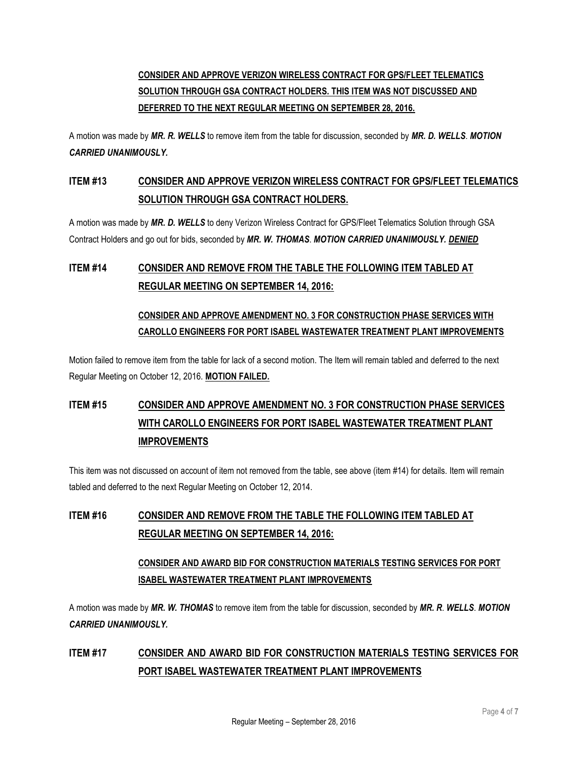## **CONSIDER AND APPROVE VERIZON WIRELESS CONTRACT FOR GPS/FLEET TELEMATICS SOLUTION THROUGH GSA CONTRACT HOLDERS. THIS ITEM WAS NOT DISCUSSED AND DEFERRED TO THE NEXT REGULAR MEETING ON SEPTEMBER 28, 2016.**

A motion was made by *MR. R. WELLS* to remove item from the table for discussion, seconded by *MR. D. WELLS*. *MOTION CARRIED UNANIMOUSLY.*

## **ITEM #13 CONSIDER AND APPROVE VERIZON WIRELESS CONTRACT FOR GPS/FLEET TELEMATICS SOLUTION THROUGH GSA CONTRACT HOLDERS.**

A motion was made by *MR. D. WELLS* to deny Verizon Wireless Contract for GPS/Fleet Telematics Solution through GSA Contract Holders and go out for bids, seconded by *MR. W. THOMAS*. *MOTION CARRIED UNANIMOUSLY. DENIED*

## **ITEM #14 CONSIDER AND REMOVE FROM THE TABLE THE FOLLOWING ITEM TABLED AT REGULAR MEETING ON SEPTEMBER 14, 2016:**

### **CONSIDER AND APPROVE AMENDMENT NO. 3 FOR CONSTRUCTION PHASE SERVICES WITH CAROLLO ENGINEERS FOR PORT ISABEL WASTEWATER TREATMENT PLANT IMPROVEMENTS**

Motion failed to remove item from the table for lack of a second motion. The Item will remain tabled and deferred to the next Regular Meeting on October 12, 2016. **MOTION FAILED.**

# **ITEM #15 CONSIDER AND APPROVE AMENDMENT NO. 3 FOR CONSTRUCTION PHASE SERVICES WITH CAROLLO ENGINEERS FOR PORT ISABEL WASTEWATER TREATMENT PLANT IMPROVEMENTS**

This item was not discussed on account of item not removed from the table, see above (item #14) for details. Item will remain tabled and deferred to the next Regular Meeting on October 12, 2014.

## **ITEM #16 CONSIDER AND REMOVE FROM THE TABLE THE FOLLOWING ITEM TABLED AT REGULAR MEETING ON SEPTEMBER 14, 2016:**

### **CONSIDER AND AWARD BID FOR CONSTRUCTION MATERIALS TESTING SERVICES FOR PORT ISABEL WASTEWATER TREATMENT PLANT IMPROVEMENTS**

A motion was made by *MR. W. THOMAS* to remove item from the table for discussion, seconded by *MR. R*. *WELLS*. *MOTION CARRIED UNANIMOUSLY.*

## **ITEM #17 CONSIDER AND AWARD BID FOR CONSTRUCTION MATERIALS TESTING SERVICES FOR PORT ISABEL WASTEWATER TREATMENT PLANT IMPROVEMENTS**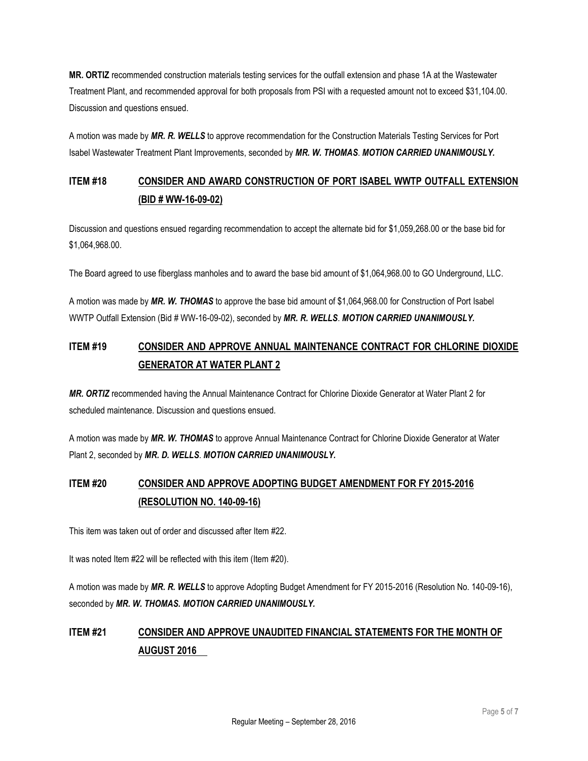**MR. ORTIZ** recommended construction materials testing services for the outfall extension and phase 1A at the Wastewater Treatment Plant, and recommended approval for both proposals from PSI with a requested amount not to exceed \$31,104.00. Discussion and questions ensued.

A motion was made by *MR. R. WELLS* to approve recommendation for the Construction Materials Testing Services for Port Isabel Wastewater Treatment Plant Improvements, seconded by *MR. W. THOMAS*. *MOTION CARRIED UNANIMOUSLY.*

## **ITEM #18 CONSIDER AND AWARD CONSTRUCTION OF PORT ISABEL WWTP OUTFALL EXTENSION (BID # WW-16-09-02)**

Discussion and questions ensued regarding recommendation to accept the alternate bid for \$1,059,268.00 or the base bid for \$1,064,968.00.

The Board agreed to use fiberglass manholes and to award the base bid amount of \$1,064,968.00 to GO Underground, LLC.

A motion was made by *MR. W. THOMAS* to approve the base bid amount of \$1,064,968.00 for Construction of Port Isabel WWTP Outfall Extension (Bid # WW-16-09-02), seconded by *MR. R. WELLS*. *MOTION CARRIED UNANIMOUSLY.*

## **ITEM #19 CONSIDER AND APPROVE ANNUAL MAINTENANCE CONTRACT FOR CHLORINE DIOXIDE GENERATOR AT WATER PLANT 2**

*MR. ORTIZ* recommended having the Annual Maintenance Contract for Chlorine Dioxide Generator at Water Plant 2 for scheduled maintenance. Discussion and questions ensued.

A motion was made by *MR. W. THOMAS* to approve Annual Maintenance Contract for Chlorine Dioxide Generator at Water Plant 2, seconded by *MR. D. WELLS*. *MOTION CARRIED UNANIMOUSLY.*

## **ITEM #20 CONSIDER AND APPROVE ADOPTING BUDGET AMENDMENT FOR FY 2015-2016 (RESOLUTION NO. 140-09-16)**

This item was taken out of order and discussed after Item #22.

It was noted Item #22 will be reflected with this item (Item #20).

A motion was made by *MR. R. WELLS* to approve Adopting Budget Amendment for FY 2015-2016 (Resolution No. 140-09-16), seconded by *MR. W. THOMAS. MOTION CARRIED UNANIMOUSLY.* 

## **ITEM #21 CONSIDER AND APPROVE UNAUDITED FINANCIAL STATEMENTS FOR THE MONTH OF AUGUST 2016**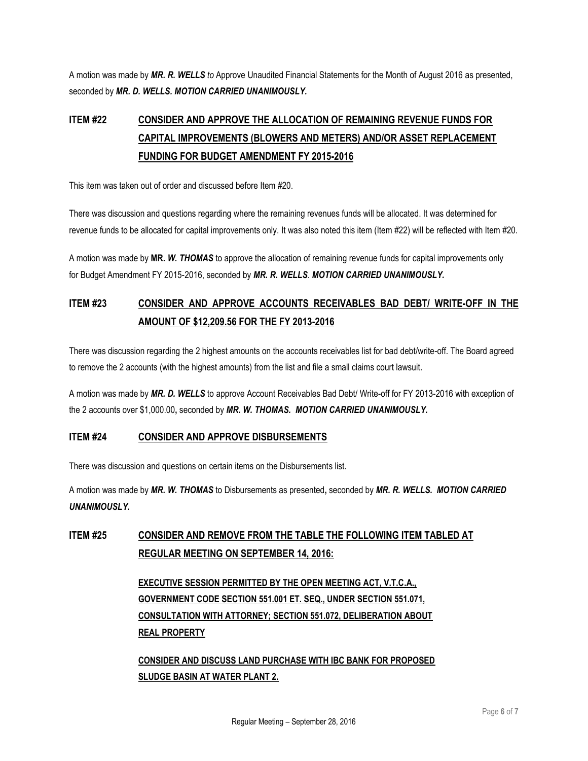A motion was made by *MR. R. WELLS to* Approve Unaudited Financial Statements for the Month of August 2016 as presented, seconded by *MR. D. WELLS. MOTION CARRIED UNANIMOUSLY.*

## **ITEM #22 CONSIDER AND APPROVE THE ALLOCATION OF REMAINING REVENUE FUNDS FOR CAPITAL IMPROVEMENTS (BLOWERS AND METERS) AND/OR ASSET REPLACEMENT FUNDING FOR BUDGET AMENDMENT FY 2015-2016**

This item was taken out of order and discussed before Item #20.

There was discussion and questions regarding where the remaining revenues funds will be allocated. It was determined for revenue funds to be allocated for capital improvements only. It was also noted this item (Item #22) will be reflected with Item #20.

A motion was made by **MR.** *W. THOMAS* to approve the allocation of remaining revenue funds for capital improvements only for Budget Amendment FY 2015-2016, seconded by *MR. R. WELLS*. *MOTION CARRIED UNANIMOUSLY.*

## **ITEM #23 CONSIDER AND APPROVE ACCOUNTS RECEIVABLES BAD DEBT/ WRITE-OFF IN THE AMOUNT OF \$12,209.56 FOR THE FY 2013-2016**

There was discussion regarding the 2 highest amounts on the accounts receivables list for bad debt/write-off. The Board agreed to remove the 2 accounts (with the highest amounts) from the list and file a small claims court lawsuit.

A motion was made by *MR. D. WELLS* to approve Account Receivables Bad Debt/ Write-off for FY 2013-2016 with exception of the 2 accounts over \$1,000.00**,** seconded by *MR. W. THOMAS. MOTION CARRIED UNANIMOUSLY.* 

### **ITEM #24 CONSIDER AND APPROVE DISBURSEMENTS**

There was discussion and questions on certain items on the Disbursements list.

A motion was made by *MR. W. THOMAS* to Disbursements as presented**,** seconded by *MR. R. WELLS. MOTION CARRIED UNANIMOUSLY.* 

## **ITEM #25 CONSIDER AND REMOVE FROM THE TABLE THE FOLLOWING ITEM TABLED AT REGULAR MEETING ON SEPTEMBER 14, 2016:**

**EXECUTIVE SESSION PERMITTED BY THE OPEN MEETING ACT, V.T.C.A., GOVERNMENT CODE SECTION 551.001 ET. SEQ., UNDER SECTION 551.071, CONSULTATION WITH ATTORNEY; SECTION 551.072, DELIBERATION ABOUT REAL PROPERTY** 

**CONSIDER AND DISCUSS LAND PURCHASE WITH IBC BANK FOR PROPOSED SLUDGE BASIN AT WATER PLANT 2.**